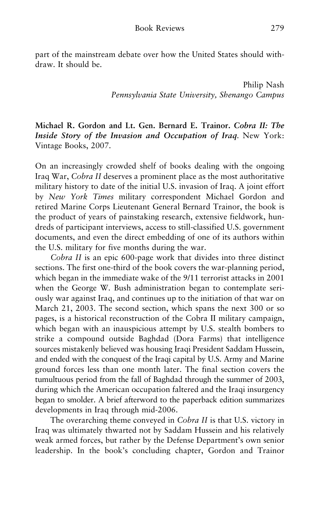part of the mainstream debate over how the United States should withdraw. It should be.

> Philip Nash *Pennsylvania State University, Shenango Campus*

**Michael R. Gordon and Lt. Gen. Bernard E. Trainor.** *Cobra II: The Inside Story of the Invasion and Occupation of Iraq.* New York: Vintage Books, 2007.

On an increasingly crowded shelf of books dealing with the ongoing Iraq War, *Cobra II* deserves a prominent place as the most authoritative military history to date of the initial U.S. invasion of Iraq. A joint effort by *New York Times* military correspondent Michael Gordon and retired Marine Corps Lieutenant General Bernard Trainor, the book is the product of years of painstaking research, extensive fieldwork, hundreds of participant interviews, access to still-classified U.S. government documents, and even the direct embedding of one of its authors within the U.S. military for five months during the war.

*Cobra II* is an epic 600-page work that divides into three distinct sections. The first one-third of the book covers the war-planning period, which began in the immediate wake of the 9/11 terrorist attacks in 2001 when the George W. Bush administration began to contemplate seriously war against Iraq, and continues up to the initiation of that war on March 21, 2003. The second section, which spans the next 300 or so pages, is a historical reconstruction of the Cobra II military campaign, which began with an inauspicious attempt by U.S. stealth bombers to strike a compound outside Baghdad (Dora Farms) that intelligence sources mistakenly believed was housing Iraqi President Saddam Hussein, and ended with the conquest of the Iraqi capital by U.S. Army and Marine ground forces less than one month later. The final section covers the tumultuous period from the fall of Baghdad through the summer of 2003, during which the American occupation faltered and the Iraqi insurgency began to smolder. A brief afterword to the paperback edition summarizes developments in Iraq through mid-2006.

The overarching theme conveyed in *Cobra II* is that U.S. victory in Iraq was ultimately thwarted not by Saddam Hussein and his relatively weak armed forces, but rather by the Defense Department's own senior leadership. In the book's concluding chapter, Gordon and Trainor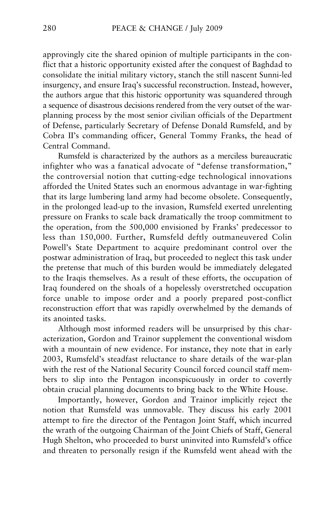approvingly cite the shared opinion of multiple participants in the conflict that a historic opportunity existed after the conquest of Baghdad to consolidate the initial military victory, stanch the still nascent Sunni-led insurgency, and ensure Iraq's successful reconstruction. Instead, however, the authors argue that this historic opportunity was squandered through a sequence of disastrous decisions rendered from the very outset of the warplanning process by the most senior civilian officials of the Department of Defense, particularly Secretary of Defense Donald Rumsfeld, and by Cobra II's commanding officer, General Tommy Franks, the head of Central Command.

Rumsfeld is characterized by the authors as a merciless bureaucratic infighter who was a fanatical advocate of "defense transformation," the controversial notion that cutting-edge technological innovations afforded the United States such an enormous advantage in war-fighting that its large lumbering land army had become obsolete. Consequently, in the prolonged lead-up to the invasion, Rumsfeld exerted unrelenting pressure on Franks to scale back dramatically the troop commitment to the operation, from the 500,000 envisioned by Franks' predecessor to less than 150,000. Further, Rumsfeld deftly outmaneuvered Colin Powell's State Department to acquire predominant control over the postwar administration of Iraq, but proceeded to neglect this task under the pretense that much of this burden would be immediately delegated to the Iraqis themselves. As a result of these efforts, the occupation of Iraq foundered on the shoals of a hopelessly overstretched occupation force unable to impose order and a poorly prepared post-conflict reconstruction effort that was rapidly overwhelmed by the demands of its anointed tasks.

Although most informed readers will be unsurprised by this characterization, Gordon and Trainor supplement the conventional wisdom with a mountain of new evidence. For instance, they note that in early 2003, Rumsfeld's steadfast reluctance to share details of the war-plan with the rest of the National Security Council forced council staff members to slip into the Pentagon inconspicuously in order to covertly obtain crucial planning documents to bring back to the White House.

Importantly, however, Gordon and Trainor implicitly reject the notion that Rumsfeld was unmovable. They discuss his early 2001 attempt to fire the director of the Pentagon Joint Staff, which incurred the wrath of the outgoing Chairman of the Joint Chiefs of Staff, General Hugh Shelton, who proceeded to burst uninvited into Rumsfeld's office and threaten to personally resign if the Rumsfeld went ahead with the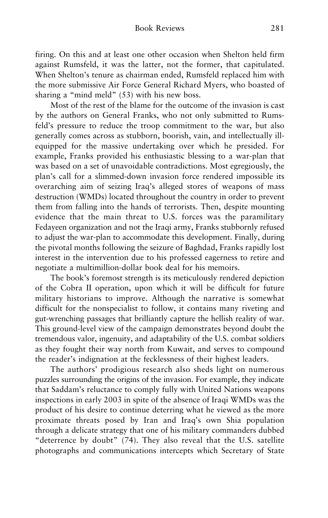firing. On this and at least one other occasion when Shelton held firm against Rumsfeld, it was the latter, not the former, that capitulated. When Shelton's tenure as chairman ended, Rumsfeld replaced him with the more submissive Air Force General Richard Myers, who boasted of sharing a "mind meld" (53) with his new boss.

Most of the rest of the blame for the outcome of the invasion is cast by the authors on General Franks, who not only submitted to Rumsfeld's pressure to reduce the troop commitment to the war, but also generally comes across as stubborn, boorish, vain, and intellectually illequipped for the massive undertaking over which he presided. For example, Franks provided his enthusiastic blessing to a war-plan that was based on a set of unavoidable contradictions. Most egregiously, the plan's call for a slimmed-down invasion force rendered impossible its overarching aim of seizing Iraq's alleged stores of weapons of mass destruction (WMDs) located throughout the country in order to prevent them from falling into the hands of terrorists. Then, despite mounting evidence that the main threat to U.S. forces was the paramilitary Fedayeen organization and not the Iraqi army, Franks stubbornly refused to adjust the war-plan to accommodate this development. Finally, during the pivotal months following the seizure of Baghdad, Franks rapidly lost interest in the intervention due to his professed eagerness to retire and negotiate a multimillion-dollar book deal for his memoirs.

The book's foremost strength is its meticulously rendered depiction of the Cobra II operation, upon which it will be difficult for future military historians to improve. Although the narrative is somewhat difficult for the nonspecialist to follow, it contains many riveting and gut-wrenching passages that brilliantly capture the hellish reality of war. This ground-level view of the campaign demonstrates beyond doubt the tremendous valor, ingenuity, and adaptability of the U.S. combat soldiers as they fought their way north from Kuwait, and serves to compound the reader's indignation at the fecklessness of their highest leaders.

The authors' prodigious research also sheds light on numerous puzzles surrounding the origins of the invasion. For example, they indicate that Saddam's reluctance to comply fully with United Nations weapons inspections in early 2003 in spite of the absence of Iraqi WMDs was the product of his desire to continue deterring what he viewed as the more proximate threats posed by Iran and Iraq's own Shia population through a delicate strategy that one of his military commanders dubbed "deterrence by doubt" (74). They also reveal that the U.S. satellite photographs and communications intercepts which Secretary of State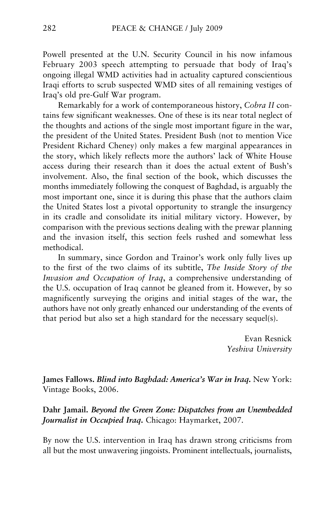Powell presented at the U.N. Security Council in his now infamous February 2003 speech attempting to persuade that body of Iraq's ongoing illegal WMD activities had in actuality captured conscientious Iraqi efforts to scrub suspected WMD sites of all remaining vestiges of Iraq's old pre-Gulf War program.

Remarkably for a work of contemporaneous history, *Cobra II* contains few significant weaknesses. One of these is its near total neglect of the thoughts and actions of the single most important figure in the war, the president of the United States. President Bush (not to mention Vice President Richard Cheney) only makes a few marginal appearances in the story, which likely reflects more the authors' lack of White House access during their research than it does the actual extent of Bush's involvement. Also, the final section of the book, which discusses the months immediately following the conquest of Baghdad, is arguably the most important one, since it is during this phase that the authors claim the United States lost a pivotal opportunity to strangle the insurgency in its cradle and consolidate its initial military victory. However, by comparison with the previous sections dealing with the prewar planning and the invasion itself, this section feels rushed and somewhat less methodical.

In summary, since Gordon and Trainor's work only fully lives up to the first of the two claims of its subtitle, *The Inside Story of the Invasion and Occupation of Iraq*, a comprehensive understanding of the U.S. occupation of Iraq cannot be gleaned from it. However, by so magnificently surveying the origins and initial stages of the war, the authors have not only greatly enhanced our understanding of the events of that period but also set a high standard for the necessary sequel(s).

> Evan Resnick *Yeshiva University*

**James Fallows.** *Blind into Baghdad: America's War in Iraq***.** New York: Vintage Books, 2006.

**Dahr Jamail.** *Beyond the Green Zone: Dispatches from an Unembedded Journalist in Occupied Iraq***.** Chicago: Haymarket, 2007.

By now the U.S. intervention in Iraq has drawn strong criticisms from all but the most unwavering jingoists. Prominent intellectuals, journalists,